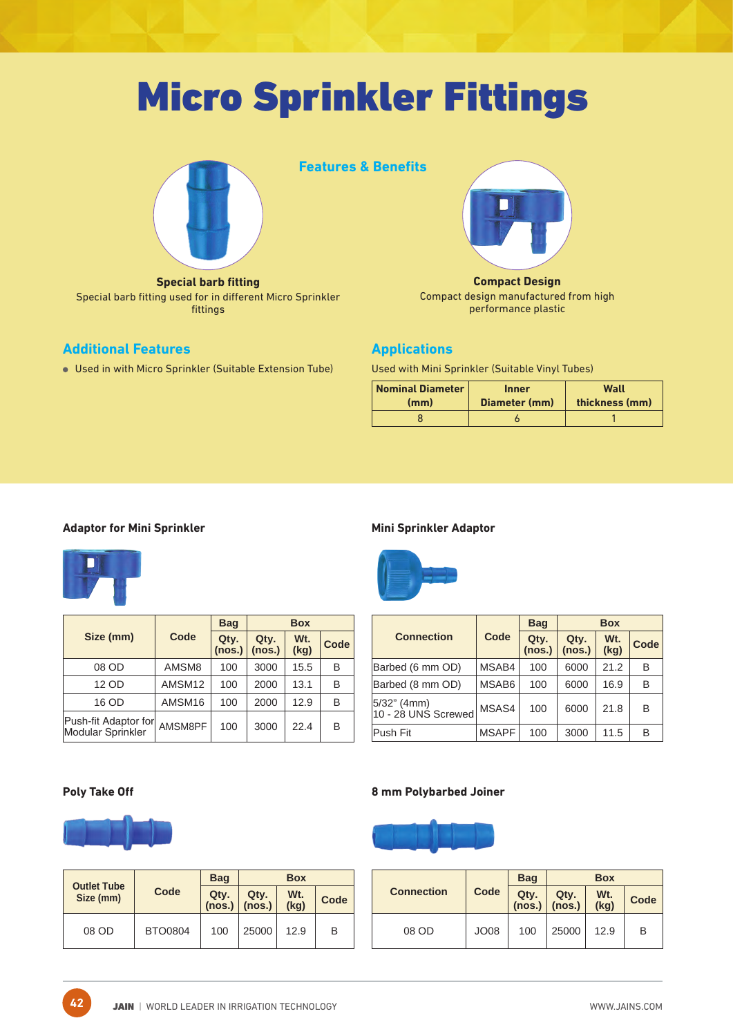# Micro Sprinkler Fittings



**Special barb fitting** Special barb fitting used for in different Micro Sprinkler fittings

#### **Additional Features**

Used in with Micro Sprinkler (Suitable Extension Tube)





**Compact Design** Compact design manufactured from high performance plastic

#### **Applications**

Used with Mini Sprinkler (Suitable Vinyl Tubes)

| <b>Nominal Diameter</b> | <b>Inner</b>  | Wall           |
|-------------------------|---------------|----------------|
| (mm)                    | Diameter (mm) | thickness (mm) |
|                         |               |                |

#### **Adaptor for Mini Sprinkler**



|                                           |         | <b>Bag</b>     | <b>Box</b>     |             |      |  |
|-------------------------------------------|---------|----------------|----------------|-------------|------|--|
| Size (mm)                                 | Code    | Qty.<br>(nos.) | Qty.<br>(nos.) | Wt.<br>(kg) | Code |  |
| 08 OD                                     | AMSM8   | 100            | 3000           | 15.5        | В    |  |
| 12 OD                                     | AMSM12  | 100            | 2000           | 13.1        | B    |  |
| 16 OD                                     | AMSM16  | 100            | 2000           | 12.9        | B    |  |
| Push-fit Adaptor for<br>Modular Sprinkler | AMSM8PF | 100            | 3000           | 22.4        | в    |  |

#### **Mini Sprinkler Adaptor**



|                                    |              | <b>Bag</b>     |                | <b>Box</b>  |      |
|------------------------------------|--------------|----------------|----------------|-------------|------|
| <b>Connection</b>                  | Code         | Qty.<br>(nos.) | Qty.<br>(nos.) | Wt.<br>(kg) | Code |
| Barbed (6 mm OD)                   | MSAB4        | 100            | 6000           | 21.2        | B    |
| Barbed (8 mm OD)                   | MSAB6        | 100            | 6000           | 16.9        | B    |
| 5/32" (4mm)<br>10 - 28 UNS Screwed | MSAS4        | 100            | 6000           | 21.8        | B    |
| Push Fit                           | <b>MSAPF</b> | 100            | 3000           | 11.5        | B    |

**42**



| <b>Outlet Tube</b> |                | <b>Bag</b>     |                | <b>Box</b>  |      |
|--------------------|----------------|----------------|----------------|-------------|------|
| Size (mm)          | Code           | Qty.<br>(nos.) | Qty.<br>(nos.) | Wt.<br>(kg) | Code |
| 08 OD              | <b>BTO0804</b> | 100            | 25000          | 12.9        | B    |

#### **Poly Take Off 8 mm Polybarbed Joiner**



| <b>Connection</b> |             | <b>Bag</b>     |                | <b>Box</b>  |      |
|-------------------|-------------|----------------|----------------|-------------|------|
|                   | Code        | Qty.<br>(nos.) | Qty.<br>(nos.) | Wt.<br>(kg) | Code |
| 08 OD             | <b>JO08</b> | 100            | 25000          | 12.9        | B    |